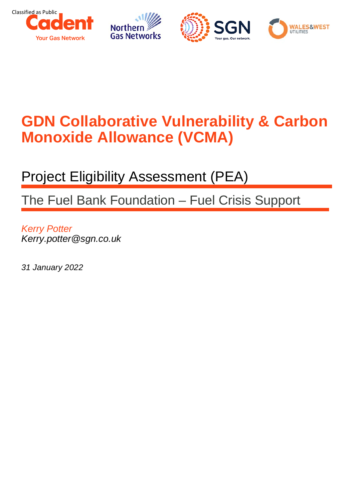

# **GDN Collaborative Vulnerability & Carbon Monoxide Allowance (VCMA)**

## Project Eligibility Assessment (PEA)

The Fuel Bank Foundation – Fuel Crisis Support

*Kerry Potter Kerry.potter@sgn.co.uk*

*31 January 2022*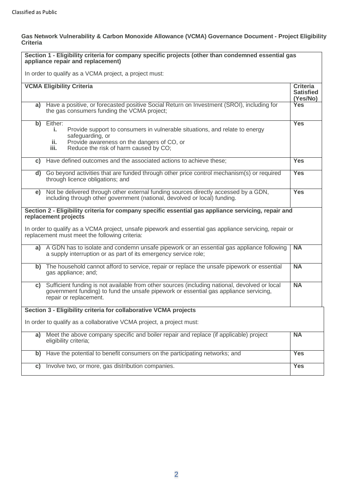#### **Gas Network Vulnerability & Carbon Monoxide Allowance (VCMA) Governance Document - Project Eligibility Criteria**

| Section 1 - Eligibility criteria for company specific projects (other than condemned essential gas<br>appliance repair and replacement)                  |                                                                                                                                                                                                                           |                                                 |  |  |
|----------------------------------------------------------------------------------------------------------------------------------------------------------|---------------------------------------------------------------------------------------------------------------------------------------------------------------------------------------------------------------------------|-------------------------------------------------|--|--|
| In order to qualify as a VCMA project, a project must:                                                                                                   |                                                                                                                                                                                                                           |                                                 |  |  |
|                                                                                                                                                          | <b>VCMA Eligibility Criteria</b>                                                                                                                                                                                          | <b>Criteria</b><br><b>Satisfied</b><br>(Yes/No) |  |  |
|                                                                                                                                                          | a) Have a positive, or forecasted positive Social Return on Investment (SROI), including for<br>the gas consumers funding the VCMA project;                                                                               | <b>Yes</b>                                      |  |  |
|                                                                                                                                                          | b) Either:<br>Provide support to consumers in vulnerable situations, and relate to energy<br>i.<br>safeguarding, or<br>Provide awareness on the dangers of CO, or<br>ii.<br>Reduce the risk of harm caused by CO;<br>iii. | <b>Yes</b>                                      |  |  |
| C)                                                                                                                                                       | Have defined outcomes and the associated actions to achieve these;                                                                                                                                                        | <b>Yes</b>                                      |  |  |
|                                                                                                                                                          | d) Go beyond activities that are funded through other price control mechanism(s) or required<br>through licence obligations; and                                                                                          | <b>Yes</b>                                      |  |  |
|                                                                                                                                                          | e) Not be delivered through other external funding sources directly accessed by a GDN,<br>including through other government (national, devolved or local) funding.                                                       | <b>Yes</b>                                      |  |  |
|                                                                                                                                                          | Section 2 - Eligibility criteria for company specific essential gas appliance servicing, repair and<br>replacement projects                                                                                               |                                                 |  |  |
| In order to qualify as a VCMA project, unsafe pipework and essential gas appliance servicing, repair or<br>replacement must meet the following criteria: |                                                                                                                                                                                                                           |                                                 |  |  |
| a)                                                                                                                                                       | A GDN has to isolate and condemn unsafe pipework or an essential gas appliance following<br>a supply interruption or as part of its emergency service role;                                                               | <b>NA</b>                                       |  |  |
|                                                                                                                                                          | b) The household cannot afford to service, repair or replace the unsafe pipework or essential<br>gas appliance; and;                                                                                                      | <b>NA</b>                                       |  |  |
| C)                                                                                                                                                       | Sufficient funding is not available from other sources (including national, devolved or local<br>government funding) to fund the unsafe pipework or essential gas appliance servicing,<br>repair or replacement.          | <b>NA</b>                                       |  |  |
| Section 3 - Eligibility criteria for collaborative VCMA projects                                                                                         |                                                                                                                                                                                                                           |                                                 |  |  |
| In order to qualify as a collaborative VCMA project, a project must:                                                                                     |                                                                                                                                                                                                                           |                                                 |  |  |
| a)                                                                                                                                                       | Meet the above company specific and boiler repair and replace (if applicable) project<br>eligibility criteria;                                                                                                            | <b>NA</b>                                       |  |  |
| b)                                                                                                                                                       | Have the potential to benefit consumers on the participating networks; and                                                                                                                                                | <b>Yes</b>                                      |  |  |
| C)                                                                                                                                                       | Involve two, or more, gas distribution companies.                                                                                                                                                                         | <b>Yes</b>                                      |  |  |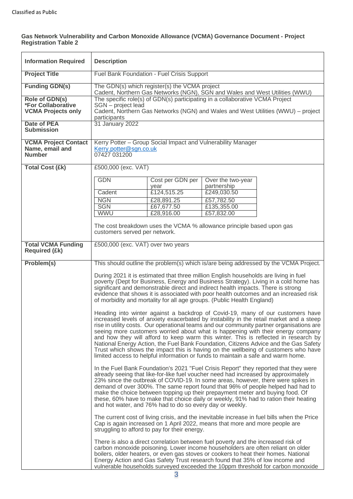#### **Gas Network Vulnerability and Carbon Monoxide Allowance (VCMA) Governance Document - Project Registration Table 2**

| <b>Information Required</b>                                              | <b>Description</b>                                                                                                                                                                                                                                                                                                                                                                                                                                                                                                                                                                                                                                                                                                |                          |                                  |                                                                                      |
|--------------------------------------------------------------------------|-------------------------------------------------------------------------------------------------------------------------------------------------------------------------------------------------------------------------------------------------------------------------------------------------------------------------------------------------------------------------------------------------------------------------------------------------------------------------------------------------------------------------------------------------------------------------------------------------------------------------------------------------------------------------------------------------------------------|--------------------------|----------------------------------|--------------------------------------------------------------------------------------|
| <b>Project Title</b>                                                     | Fuel Bank Foundation - Fuel Crisis Support                                                                                                                                                                                                                                                                                                                                                                                                                                                                                                                                                                                                                                                                        |                          |                                  |                                                                                      |
| <b>Funding GDN(s)</b>                                                    | The GDN(s) which register(s) the VCMA project                                                                                                                                                                                                                                                                                                                                                                                                                                                                                                                                                                                                                                                                     |                          |                                  |                                                                                      |
| Role of GDN(s)<br><b>*For Collaborative</b><br><b>VCMA Projects only</b> | Cadent, Northern Gas Networks (NGN), SGN and Wales and West Utilities (WWU)<br>The specific role(s) of GDN(s) participating in a collaborative VCMA Project<br>SGN - project lead<br>Cadent, Northern Gas Networks (NGN) and Wales and West Utilities (WWU) – project<br>participants                                                                                                                                                                                                                                                                                                                                                                                                                             |                          |                                  |                                                                                      |
| <b>Date of PEA</b><br><b>Submission</b>                                  | 31 January 2022                                                                                                                                                                                                                                                                                                                                                                                                                                                                                                                                                                                                                                                                                                   |                          |                                  |                                                                                      |
| <b>VCMA Project Contact</b><br>Name, email and<br><b>Number</b>          | Kerry Potter - Group Social Impact and Vulnerability Manager<br>Kerry.potter@sgn.co.uk<br>07427 031200                                                                                                                                                                                                                                                                                                                                                                                                                                                                                                                                                                                                            |                          |                                  |                                                                                      |
| <b>Total Cost (£k)</b>                                                   | £500,000 (exc. VAT)                                                                                                                                                                                                                                                                                                                                                                                                                                                                                                                                                                                                                                                                                               |                          |                                  |                                                                                      |
|                                                                          | <b>GDN</b>                                                                                                                                                                                                                                                                                                                                                                                                                                                                                                                                                                                                                                                                                                        | Cost per GDN per<br>year | Over the two-year<br>partnership |                                                                                      |
|                                                                          | Cadent                                                                                                                                                                                                                                                                                                                                                                                                                                                                                                                                                                                                                                                                                                            | £124,515.25              | £249,030.50                      |                                                                                      |
|                                                                          | <b>NGN</b>                                                                                                                                                                                                                                                                                                                                                                                                                                                                                                                                                                                                                                                                                                        | £28,891.25               | £57,782.50                       |                                                                                      |
|                                                                          | <b>SGN</b><br><b>WWU</b>                                                                                                                                                                                                                                                                                                                                                                                                                                                                                                                                                                                                                                                                                          | £67,677.50<br>£28,916.00 | £135,355.00<br>£57,832.00        |                                                                                      |
|                                                                          |                                                                                                                                                                                                                                                                                                                                                                                                                                                                                                                                                                                                                                                                                                                   |                          |                                  |                                                                                      |
|                                                                          | The cost breakdown uses the VCMA % allowance principle based upon gas<br>customers served per network.                                                                                                                                                                                                                                                                                                                                                                                                                                                                                                                                                                                                            |                          |                                  |                                                                                      |
| <b>Total VCMA Funding</b><br><b>Required (£k)</b>                        | £500,000 (exc. VAT) over two years                                                                                                                                                                                                                                                                                                                                                                                                                                                                                                                                                                                                                                                                                |                          |                                  |                                                                                      |
| Problem(s)                                                               |                                                                                                                                                                                                                                                                                                                                                                                                                                                                                                                                                                                                                                                                                                                   |                          |                                  | This should outline the problem(s) which is/are being addressed by the VCMA Project. |
|                                                                          | During 2021 it is estimated that three million English households are living in fuel<br>poverty (Dept for Business, Energy and Business Strategy). Living in a cold home has<br>significant and demonstrable direct and indirect health impacts. There is strong<br>evidence that shows it is associated with poor health outcomes and an increased risk<br>of morbidity and mortality for all age groups. (Public Health England)                                                                                                                                                                                                                                                                                |                          |                                  |                                                                                      |
|                                                                          | Heading into winter against a backdrop of Covid-19, many of our customers have<br>increased levels of anxiety exacerbated by instability in the retail market and a steep<br>rise in utility costs. Our operational teams and our community partner organisations are<br>seeing more customers worried about what is happening with their energy company<br>and how they will afford to keep warm this winter. This is reflected in research by<br>National Energy Action, the Fuel Bank Foundation, Citizens Advice and the Gas Safety<br>Trust which shows the impact this is having on the wellbeing of customers who have<br>limited access to helpful information or funds to maintain a safe and warm home. |                          |                                  |                                                                                      |
|                                                                          | In the Fuel Bank Foundation's 2021 "Fuel Crisis Report" they reported that they were<br>already seeing that like-for-like fuel voucher need had increased by approximately<br>23% since the outbreak of COVID-19. In some areas, however, there were spikes in<br>demand of over 300%. The same report found that 96% of people helped had had to<br>make the choice between topping up their prepayment meter and buying food. Of<br>these, 60% have to make that choice daily or weekly, 91% had to ration their heating<br>and hot water, and 76% had to do so every day or weekly.                                                                                                                            |                          |                                  |                                                                                      |
|                                                                          | The current cost of living crisis, and the inevitable increase in fuel bills when the Price<br>Cap is again increased on 1 April 2022, means that more and more people are<br>struggling to afford to pay for their energy.                                                                                                                                                                                                                                                                                                                                                                                                                                                                                       |                          |                                  |                                                                                      |
|                                                                          | There is also a direct correlation between fuel poverty and the increased risk of<br>carbon monoxide poisoning. Lower income householders are often reliant on older<br>boilers, older heaters, or even gas stoves or cookers to heat their homes. National<br>Energy Action and Gas Safety Trust research found that 35% of low income and<br>vulnerable households surveyed exceeded the 10ppm threshold for carbon monoxide                                                                                                                                                                                                                                                                                    |                          |                                  |                                                                                      |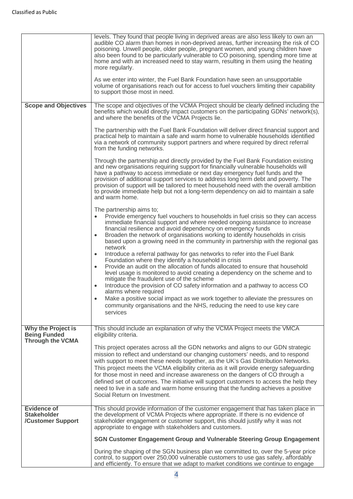|                                                                      | levels. They found that people living in deprived areas are also less likely to own an<br>audible CO alarm than homes in non-deprived areas, further increasing the risk of CO<br>poisoning. Unwell people, older people, pregnant women, and young children have<br>also been found to be particularly vulnerable to CO poisoning, spending more time at<br>home and with an increased need to stay warm, resulting in them using the heating<br>more regularly.<br>As we enter into winter, the Fuel Bank Foundation have seen an unsupportable<br>volume of organisations reach out for access to fuel vouchers limiting their capability<br>to support those most in need. |
|----------------------------------------------------------------------|--------------------------------------------------------------------------------------------------------------------------------------------------------------------------------------------------------------------------------------------------------------------------------------------------------------------------------------------------------------------------------------------------------------------------------------------------------------------------------------------------------------------------------------------------------------------------------------------------------------------------------------------------------------------------------|
| <b>Scope and Objectives</b>                                          | The scope and objectives of the VCMA Project should be clearly defined including the<br>benefits which would directly impact customers on the participating GDNs' network(s),<br>and where the benefits of the VCMA Projects lie.                                                                                                                                                                                                                                                                                                                                                                                                                                              |
|                                                                      | The partnership with the Fuel Bank Foundation will deliver direct financial support and<br>practical help to maintain a safe and warm home to vulnerable households identified<br>via a network of community support partners and where required by direct referral<br>from the funding networks.                                                                                                                                                                                                                                                                                                                                                                              |
|                                                                      | Through the partnership and directly provided by the Fuel Bank Foundation existing<br>and new organisations requiring support for financially vulnerable households will<br>have a pathway to access immediate or next day emergency fuel funds and the<br>provision of additional support services to address long term debt and poverty. The<br>provision of support will be tailored to meet household need with the overall ambition<br>to provide immediate help but not a long-term dependency on aid to maintain a safe<br>and warm home.                                                                                                                               |
|                                                                      | The partnership aims to;<br>Provide emergency fuel vouchers to households in fuel crisis so they can access<br>immediate financial support and where needed ongoing assistance to increase<br>financial resilience and avoid dependency on emergency funds<br>Broaden the network of organisations working to identify households in crisis<br>$\bullet$<br>based upon a growing need in the community in partnership with the regional gas<br>network                                                                                                                                                                                                                         |
|                                                                      | Introduce a referral pathway for gas networks to refer into the Fuel Bank<br>$\bullet$<br>Foundation where they identify a household in crisis<br>Provide an audit on the allocation of funds allocated to ensure that household<br>$\bullet$<br>level usage is monitored to avoid creating a dependency on the scheme and to<br>mitigate the fraudulent use of the scheme<br>Introduce the provision of CO safety information and a pathway to access CO<br>$\bullet$<br>alarms where required<br>Make a positive social impact as we work together to alleviate the pressures on                                                                                             |
|                                                                      | community organisations and the NHS, reducing the need to use key care<br>services                                                                                                                                                                                                                                                                                                                                                                                                                                                                                                                                                                                             |
| Why the Project is<br><b>Being Funded</b><br><b>Through the VCMA</b> | This should include an explanation of why the VCMA Project meets the VMCA<br>eligibility criteria.                                                                                                                                                                                                                                                                                                                                                                                                                                                                                                                                                                             |
|                                                                      | This project operates across all the GDN networks and aligns to our GDN strategic<br>mission to reflect and understand our changing customers' needs, and to respond<br>with support to meet these needs together, as the UK's Gas Distribution Networks.<br>This project meets the VCMA eligibility criteria as it will provide energy safeguarding<br>for those most in need and increase awareness on the dangers of CO through a<br>defined set of outcomes. The initiative will support customers to access the help they<br>need to live in a safe and warm home ensuring that the funding achieves a positive<br>Social Return on Investment.                           |
| <b>Evidence of</b><br><b>Stakeholder</b><br>/Customer Support        | This should provide information of the customer engagement that has taken place in<br>the development of VCMA Projects where appropriate. If there is no evidence of<br>stakeholder engagement or customer support, this should justify why it was not<br>appropriate to engage with stakeholders and customers.                                                                                                                                                                                                                                                                                                                                                               |
|                                                                      | SGN Customer Engagement Group and Vulnerable Steering Group Engagement                                                                                                                                                                                                                                                                                                                                                                                                                                                                                                                                                                                                         |
|                                                                      | During the shaping of the SGN business plan we committed to, over the 5-year price<br>control, to support over 250,000 vulnerable customers to use gas safely, affordably<br>and efficiently. To ensure that we adapt to market conditions we continue to engage                                                                                                                                                                                                                                                                                                                                                                                                               |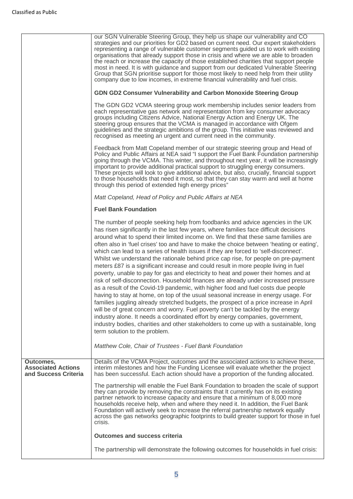|                                                                | our SGN Vulnerable Steering Group, they help us shape our vulnerability and CO<br>strategies and our priorities for GD2 based on current need. Our expert stakeholders<br>representing a range of vulnerable customer segments guided us to work with existing<br>organisations that already support those in crisis and where we are able to broaden<br>the reach or increase the capacity of those established charities that support people<br>most in need. It is with guidance and support from our dedicated Vulnerable Steering<br>Group that SGN prioritise support for those most likely to need help from their utility<br>company due to low incomes, in extreme financial vulnerability and fuel crisis.                                                                                                                                                                                                                                                                                                                                                                                                                                                                                                                                                                                                                                                                                                                        |
|----------------------------------------------------------------|---------------------------------------------------------------------------------------------------------------------------------------------------------------------------------------------------------------------------------------------------------------------------------------------------------------------------------------------------------------------------------------------------------------------------------------------------------------------------------------------------------------------------------------------------------------------------------------------------------------------------------------------------------------------------------------------------------------------------------------------------------------------------------------------------------------------------------------------------------------------------------------------------------------------------------------------------------------------------------------------------------------------------------------------------------------------------------------------------------------------------------------------------------------------------------------------------------------------------------------------------------------------------------------------------------------------------------------------------------------------------------------------------------------------------------------------|
|                                                                | GDN GD2 Consumer Vulnerability and Carbon Monoxide Steering Group                                                                                                                                                                                                                                                                                                                                                                                                                                                                                                                                                                                                                                                                                                                                                                                                                                                                                                                                                                                                                                                                                                                                                                                                                                                                                                                                                                           |
|                                                                | The GDN GD2 VCMA steering group work membership includes senior leaders from<br>each representative gas network and representation from key consumer advocacy<br>groups including Citizens Advice, National Energy Action and Energy UK. The<br>steering group ensures that the VCMA is managed in accordance with Ofgem<br>guidelines and the strategic ambitions of the group. This initiative was reviewed and<br>recognised as meeting an urgent and current need in the community.                                                                                                                                                                                                                                                                                                                                                                                                                                                                                                                                                                                                                                                                                                                                                                                                                                                                                                                                                     |
|                                                                | Feedback from Matt Copeland member of our strategic steering group and Head of<br>Policy and Public Affairs at NEA said "I support the Fuel Bank Foundation partnership<br>going through the VCMA. This winter, and throughout next year, it will be increasingly<br>important to provide additional practical support to struggling energy consumers.<br>These projects will look to give additional advice, but also, crucially, financial support<br>to those households that need it most, so that they can stay warm and well at home<br>through this period of extended high energy prices"                                                                                                                                                                                                                                                                                                                                                                                                                                                                                                                                                                                                                                                                                                                                                                                                                                           |
|                                                                | Matt Copeland, Head of Policy and Public Affairs at NEA                                                                                                                                                                                                                                                                                                                                                                                                                                                                                                                                                                                                                                                                                                                                                                                                                                                                                                                                                                                                                                                                                                                                                                                                                                                                                                                                                                                     |
|                                                                | <b>Fuel Bank Foundation</b>                                                                                                                                                                                                                                                                                                                                                                                                                                                                                                                                                                                                                                                                                                                                                                                                                                                                                                                                                                                                                                                                                                                                                                                                                                                                                                                                                                                                                 |
|                                                                | The number of people seeking help from foodbanks and advice agencies in the UK<br>has risen significantly in the last few years, where families face difficult decisions<br>around what to spend their limited income on. We find that these same families are<br>often also in 'fuel crises' too and have to make the choice between 'heating or eating',<br>which can lead to a series of health issues if they are forced to 'self-disconnect'.<br>Whilst we understand the rationale behind price cap rise, for people on pre-payment<br>meters £87 is a significant increase and could result in more people living in fuel<br>poverty, unable to pay for gas and electricity to heat and power their homes and at<br>risk of self-disconnection. Household finances are already under increased pressure<br>as a result of the Covid-19 pandemic, with higher food and fuel costs due people<br>having to stay at home, on top of the usual seasonal increase in energy usage. For<br>families juggling already stretched budgets, the prospect of a price increase in April<br>will be of great concern and worry. Fuel poverty can't be tackled by the energy<br>industry alone. It needs a coordinated effort by energy companies, government,<br>industry bodies, charities and other stakeholders to come up with a sustainable, long<br>term solution to the problem.<br>Matthew Cole, Chair of Trustees - Fuel Bank Foundation |
| Outcomes,<br><b>Associated Actions</b><br>and Success Criteria | Details of the VCMA Project, outcomes and the associated actions to achieve these,<br>interim milestones and how the Funding Licensee will evaluate whether the project<br>has been successful. Each action should have a proportion of the funding allocated.                                                                                                                                                                                                                                                                                                                                                                                                                                                                                                                                                                                                                                                                                                                                                                                                                                                                                                                                                                                                                                                                                                                                                                              |
|                                                                | The partnership will enable the Fuel Bank Foundation to broaden the scale of support<br>they can provide by removing the constraints that It currently has on its existing<br>partner network to increase capacity and ensure that a minimum of 8,000 more<br>households receive help, when and where they need it. In addition, the Fuel Bank<br>Foundation will actively seek to increase the referral partnership network equally<br>across the gas networks geographic footprints to build greater support for those in fuel<br>crisis.                                                                                                                                                                                                                                                                                                                                                                                                                                                                                                                                                                                                                                                                                                                                                                                                                                                                                                 |
|                                                                | <b>Outcomes and success criteria</b>                                                                                                                                                                                                                                                                                                                                                                                                                                                                                                                                                                                                                                                                                                                                                                                                                                                                                                                                                                                                                                                                                                                                                                                                                                                                                                                                                                                                        |
|                                                                | The partnership will demonstrate the following outcomes for households in fuel crisis:                                                                                                                                                                                                                                                                                                                                                                                                                                                                                                                                                                                                                                                                                                                                                                                                                                                                                                                                                                                                                                                                                                                                                                                                                                                                                                                                                      |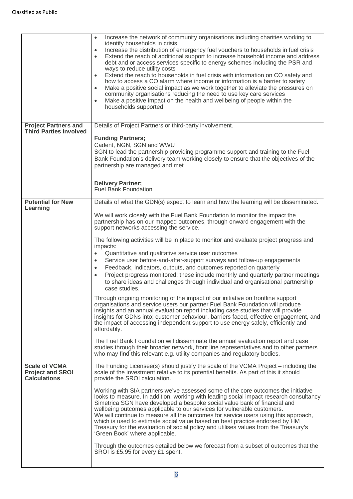|                                                                        | Increase the network of community organisations including charities working to<br>$\bullet$<br>identify households in crisis<br>Increase the distribution of emergency fuel vouchers to households in fuel crisis<br>$\bullet$<br>Extend the reach of additional support to increase household income and address<br>$\bullet$<br>debt and or access services specific to energy schemes including the PSR and<br>ways to reduce utility costs<br>Extend the reach to households in fuel crisis with information on CO safety and<br>$\bullet$<br>how to access a CO alarm where income or information is a barrier to safety<br>Make a positive social impact as we work together to alleviate the pressures on<br>$\bullet$<br>community organisations reducing the need to use key care services<br>Make a positive impact on the health and wellbeing of people within the<br>$\bullet$<br>households supported |
|------------------------------------------------------------------------|---------------------------------------------------------------------------------------------------------------------------------------------------------------------------------------------------------------------------------------------------------------------------------------------------------------------------------------------------------------------------------------------------------------------------------------------------------------------------------------------------------------------------------------------------------------------------------------------------------------------------------------------------------------------------------------------------------------------------------------------------------------------------------------------------------------------------------------------------------------------------------------------------------------------|
| <b>Project Partners and</b>                                            | Details of Project Partners or third-party involvement.                                                                                                                                                                                                                                                                                                                                                                                                                                                                                                                                                                                                                                                                                                                                                                                                                                                             |
| <b>Third Parties Involved</b>                                          |                                                                                                                                                                                                                                                                                                                                                                                                                                                                                                                                                                                                                                                                                                                                                                                                                                                                                                                     |
|                                                                        | <b>Funding Partners;</b>                                                                                                                                                                                                                                                                                                                                                                                                                                                                                                                                                                                                                                                                                                                                                                                                                                                                                            |
|                                                                        | Cadent, NGN, SGN and WWU                                                                                                                                                                                                                                                                                                                                                                                                                                                                                                                                                                                                                                                                                                                                                                                                                                                                                            |
|                                                                        | SGN to lead the partnership providing programme support and training to the Fuel<br>Bank Foundation's delivery team working closely to ensure that the objectives of the<br>partnership are managed and met.                                                                                                                                                                                                                                                                                                                                                                                                                                                                                                                                                                                                                                                                                                        |
|                                                                        |                                                                                                                                                                                                                                                                                                                                                                                                                                                                                                                                                                                                                                                                                                                                                                                                                                                                                                                     |
|                                                                        | <b>Delivery Partner;</b><br>Fuel Bank Foundation                                                                                                                                                                                                                                                                                                                                                                                                                                                                                                                                                                                                                                                                                                                                                                                                                                                                    |
|                                                                        |                                                                                                                                                                                                                                                                                                                                                                                                                                                                                                                                                                                                                                                                                                                                                                                                                                                                                                                     |
| <b>Potential for New</b><br>Learning                                   | Details of what the GDN(s) expect to learn and how the learning will be disseminated.                                                                                                                                                                                                                                                                                                                                                                                                                                                                                                                                                                                                                                                                                                                                                                                                                               |
|                                                                        | We will work closely with the Fuel Bank Foundation to monitor the impact the<br>partnership has on our mapped outcomes, through onward engagement with the<br>support networks accessing the service.                                                                                                                                                                                                                                                                                                                                                                                                                                                                                                                                                                                                                                                                                                               |
|                                                                        | The following activities will be in place to monitor and evaluate project progress and<br>impacts:                                                                                                                                                                                                                                                                                                                                                                                                                                                                                                                                                                                                                                                                                                                                                                                                                  |
|                                                                        | Quantitative and qualitative service user outcomes<br>$\bullet$                                                                                                                                                                                                                                                                                                                                                                                                                                                                                                                                                                                                                                                                                                                                                                                                                                                     |
|                                                                        | Service user before-and-after-support surveys and follow-up engagements<br>$\bullet$                                                                                                                                                                                                                                                                                                                                                                                                                                                                                                                                                                                                                                                                                                                                                                                                                                |
|                                                                        | Feedback, indicators, outputs, and outcomes reported on quarterly<br>$\bullet$<br>Project progress monitored: these include monthly and quarterly partner meetings<br>$\bullet$<br>to share ideas and challenges through individual and organisational partnership<br>case studies.                                                                                                                                                                                                                                                                                                                                                                                                                                                                                                                                                                                                                                 |
|                                                                        | Through ongoing monitoring of the impact of our initiative on frontline support                                                                                                                                                                                                                                                                                                                                                                                                                                                                                                                                                                                                                                                                                                                                                                                                                                     |
|                                                                        | organisations and service users our partner Fuel Bank Foundation will produce<br>insights and an annual evaluation report including case studies that will provide<br>insights for GDNs into; customer behaviour, barriers faced, effective engagement, and<br>the impact of accessing independent support to use energy safely, efficiently and<br>affordably.                                                                                                                                                                                                                                                                                                                                                                                                                                                                                                                                                     |
|                                                                        |                                                                                                                                                                                                                                                                                                                                                                                                                                                                                                                                                                                                                                                                                                                                                                                                                                                                                                                     |
|                                                                        | The Fuel Bank Foundation will disseminate the annual evaluation report and case<br>studies through their broader network, front line representatives and to other partners<br>who may find this relevant e.g. utility companies and regulatory bodies.                                                                                                                                                                                                                                                                                                                                                                                                                                                                                                                                                                                                                                                              |
| <b>Scale of VCMA</b><br><b>Project and SROI</b><br><b>Calculations</b> | The Funding Licensee(s) should justify the scale of the VCMA Project – including the<br>scale of the investment relative to its potential benefits. As part of this it should<br>provide the SROI calculation.                                                                                                                                                                                                                                                                                                                                                                                                                                                                                                                                                                                                                                                                                                      |
|                                                                        | Working with SIA partners we've assessed some of the core outcomes the initiative<br>looks to measure. In addition, working with leading social impact research consultancy<br>Simetrica SGN have developed a bespoke social value bank of financial and<br>wellbeing outcomes applicable to our services for vulnerable customers.<br>We will continue to measure all the outcomes for service users using this approach,<br>which is used to estimate social value based on best practice endorsed by HM<br>Treasury for the evaluation of social policy and utilises values from the Treasury's<br>'Green Book' where applicable.                                                                                                                                                                                                                                                                                |
|                                                                        | Through the outcomes detailed below we forecast from a subset of outcomes that the<br>SROI is £5.95 for every £1 spent.                                                                                                                                                                                                                                                                                                                                                                                                                                                                                                                                                                                                                                                                                                                                                                                             |
|                                                                        |                                                                                                                                                                                                                                                                                                                                                                                                                                                                                                                                                                                                                                                                                                                                                                                                                                                                                                                     |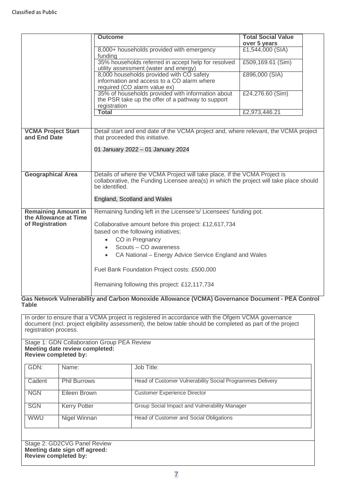|                                              | <b>Outcome</b>                                                                                            | <b>Total Social Value</b>        |  |  |
|----------------------------------------------|-----------------------------------------------------------------------------------------------------------|----------------------------------|--|--|
|                                              | 8,000+ households provided with emergency                                                                 | over 5 years<br>£1,544,000 (SIA) |  |  |
|                                              | funding                                                                                                   |                                  |  |  |
|                                              | 35% households referred in accept help for resolved<br>utility assessment (water and energy)              | £509,169.61 (Sim)                |  |  |
|                                              | 8,000 households provided with CO safety                                                                  | £896,000 (SIA)                   |  |  |
|                                              | information and access to a CO alarm where<br>required (CO alarm value ex)                                |                                  |  |  |
|                                              | 35% of households provided with information about                                                         | £24,276.60 (Sim)                 |  |  |
|                                              | the PSR take up the offer of a pathway to support                                                         |                                  |  |  |
|                                              | registration<br><b>Total</b>                                                                              | £2,973,446.21                    |  |  |
|                                              |                                                                                                           |                                  |  |  |
| <b>VCMA Project Start</b>                    | Detail start and end date of the VCMA project and, where relevant, the VCMA project                       |                                  |  |  |
| and End Date                                 | that proceeded this initiative.                                                                           |                                  |  |  |
|                                              | 01 January 2022 - 01 January 2024                                                                         |                                  |  |  |
|                                              |                                                                                                           |                                  |  |  |
|                                              |                                                                                                           |                                  |  |  |
| <b>Geographical Area</b>                     | Details of where the VCMA Project will take place. If the VCMA Project is                                 |                                  |  |  |
|                                              | collaborative, the Funding Licensee area(s) in which the project will take place should<br>be identified. |                                  |  |  |
|                                              |                                                                                                           |                                  |  |  |
|                                              | England, Scotland and Wales                                                                               |                                  |  |  |
| <b>Remaining Amount in</b>                   | Remaining funding left in the Licensee's/ Licensees' funding pot.                                         |                                  |  |  |
| the Allowance at Time<br>of Registration     | Collaborative amount before this project: £12,617,734                                                     |                                  |  |  |
|                                              | based on the following initiatives;                                                                       |                                  |  |  |
|                                              | CO in Pregnancy                                                                                           |                                  |  |  |
|                                              | Scouts - CO awareness<br>$\bullet$                                                                        |                                  |  |  |
|                                              | CA National – Energy Advice Service England and Wales<br>$\bullet$                                        |                                  |  |  |
| Fuel Bank Foundation Project costs: £500,000 |                                                                                                           |                                  |  |  |
|                                              | Remaining following this project: £12,117,734                                                             |                                  |  |  |

### **Gas Network Vulnerability and Carbon Monoxide Allowance (VCMA) Governance Document - PEA Control Table**

In order to ensure that a VCMA project is registered in accordance with the Ofgem VCMA governance document (incl. project eligibility assessment), the below table should be completed as part of the project registration process.

#### Stage 1: GDN Collaboration Group PEA Review **Meeting date review completed: Review completed by:**

| GDN:       | Name:               | Job Title:                                                |
|------------|---------------------|-----------------------------------------------------------|
| Cadent     | <b>Phil Burrows</b> | Head of Customer Vulnerability Social Programmes Delivery |
| <b>NGN</b> | Eileen Brown        | <b>Customer Experience Director</b>                       |
| <b>SGN</b> | <b>Kerry Potter</b> | Group Social Impact and Vulnerability Manager             |
| <b>WWU</b> | Nigel Winnan        | Head of Customer and Social Obligations                   |

Stage 2: GD2CVG Panel Review **Meeting date sign off agreed: Review completed by:**